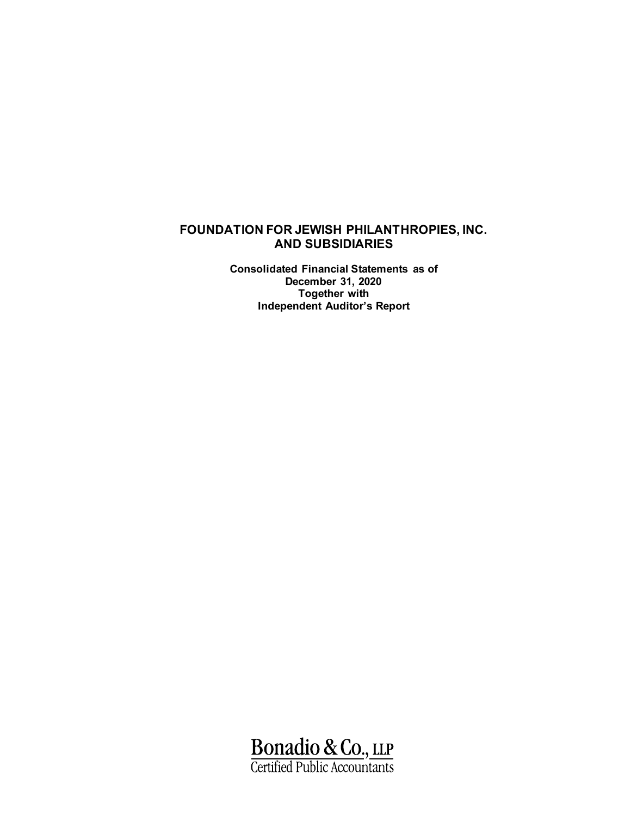**Consolidated Financial Statements as of December 31, 2020 Together with Independent Auditor's Report**

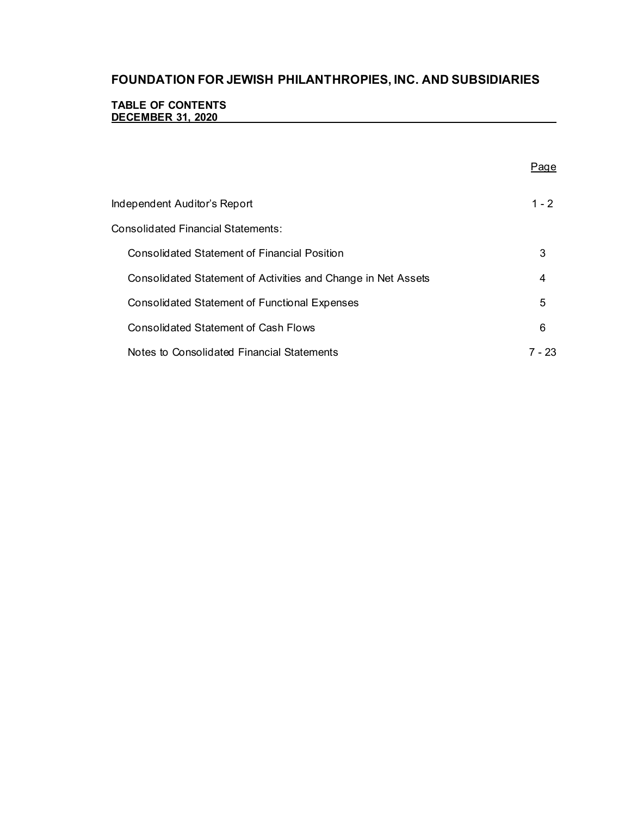## **TABLE OF CONTENTS DECEMBER 31, 2020**

| Independent Auditor's Report                                  | $1 - 2$ |
|---------------------------------------------------------------|---------|
| Consolidated Financial Statements:                            |         |
| <b>Consolidated Statement of Financial Position</b>           | 3       |
| Consolidated Statement of Activities and Change in Net Assets | 4       |
| <b>Consolidated Statement of Functional Expenses</b>          | 5       |
| <b>Consolidated Statement of Cash Flows</b>                   | 6       |
| Notes to Consolidated Financial Statements                    | 7 - 23  |

Page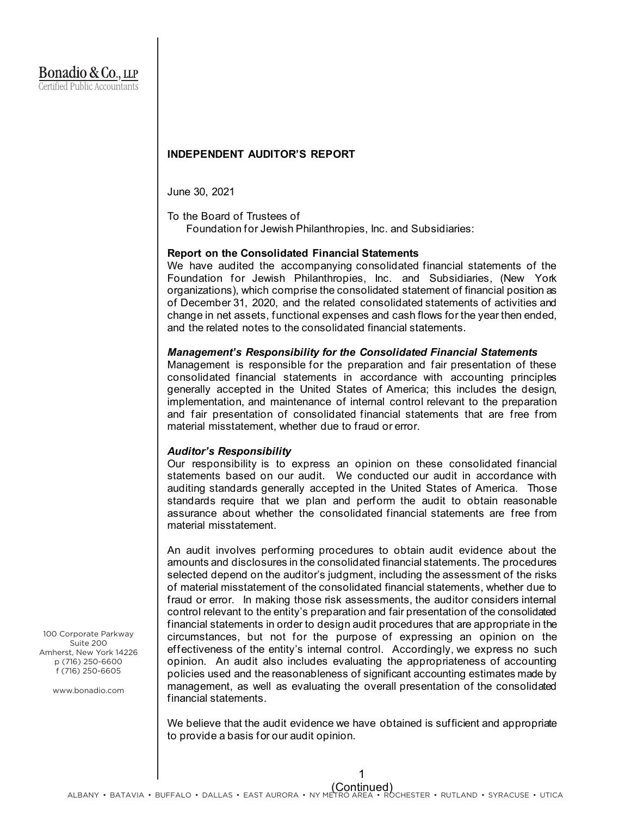## **INDEPENDENT AUDITOR'S REPORT**

June 30, 2021

To the Board of Trustees of Foundation for Jewish Philanthropies, Inc. and Subsidiaries:

#### **Report on the Consolidated Financial Statements**

We have audited the accompanying consolidated financial statements of the Foundation for Jewish Philanthropies, Inc. and Subsidiaries, (New York organizations), which comprise the consolidated statement of financial position as of December 31, 2020, and the related consolidated statements of activities and change in net assets, functional expenses and cash flows for the year then ended, and the related notes to the consolidated financial statements.

#### *Management's Responsibility for the Consolidated Financial Statements*

Management is responsible for the preparation and fair presentation of these consolidated financial statements in accordance with accounting principles generally accepted in the United States of America; this includes the design, implementation, and maintenance of internal control relevant to the preparation and fair presentation of consolidated financial statements that are free from material misstatement, whether due to fraud or error.

#### *Auditor's Responsibility*

Our responsibility is to express an opinion on these consolidated financial statements based on our audit. We conducted our audit in accordance with auditing standards generally accepted in the United States of America. Those standards require that we plan and perform the audit to obtain reasonable assurance about whether the consolidated financial statements are free from material misstatement.

An audit involves performing procedures to obtain audit evidence about the amounts and disclosures in the consolidated financial statements. The procedures selected depend on the auditor's judgment, including the assessment of the risks of material misstatement of the consolidated financial statements, whether due to fraud or error. In making those risk assessments, the auditor considers internal control relevant to the entity's preparation and fair presentation of the consolidated financial statements in order to design audit procedures that are appropriate in the circumstances, but not for the purpose of expressing an opinion on the effectiveness of the entity's internal control. Accordingly, we express no such opinion. An audit also includes evaluating the appropriateness of accounting policies used and the reasonableness of significant accounting estimates made by management, as well as evaluating the overall presentation of the consolidated financial statements.

We believe that the audit evidence we have obtained is sufficient and appropriate to provide a basis for our audit opinion.

1

100 Corporate Parkway Suite 200 Amherst, New York 14226 p (716) 250-6600 f (716) 250-6605

www.bonadio.com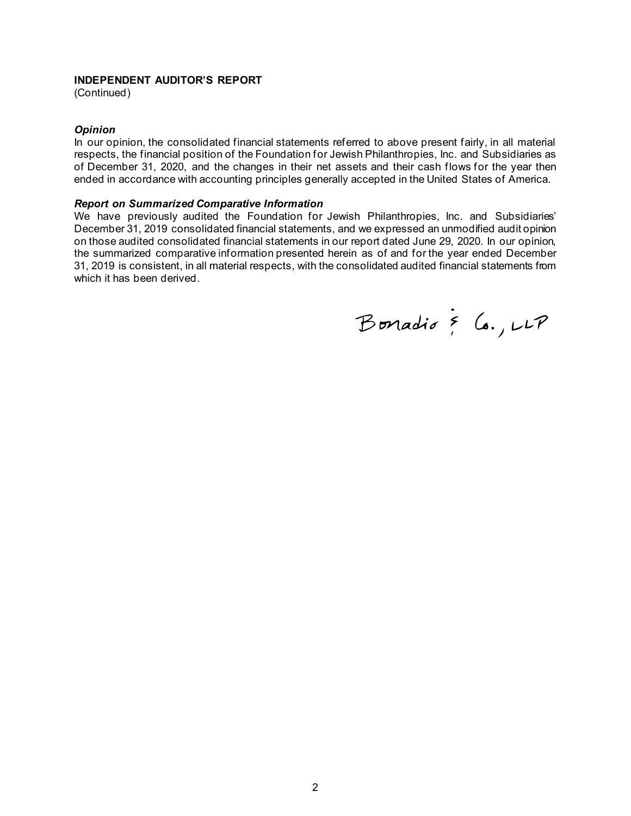## **INDEPENDENT AUDITOR'S REPORT**

(Continued)

### *Opinion*

In our opinion, the consolidated financial statements referred to above present fairly, in all material respects, the financial position of the Foundation for Jewish Philanthropies, Inc. and Subsidiaries as of December 31, 2020, and the changes in their net assets and their cash flows for the year then ended in accordance with accounting principles generally accepted in the United States of America.

## *Report on Summarized Comparative Information*

We have previously audited the Foundation for Jewish Philanthropies, Inc. and Subsidiaries' December 31, 2019 consolidated financial statements, and we expressed an unmodified audit opinion on those audited consolidated financial statements in our report dated June 29, 2020. In our opinion, the summarized comparative information presented herein as of and for the year ended December 31, 2019 is consistent, in all material respects, with the consolidated audited financial statements from which it has been derived.

Bonadio & Co., LLP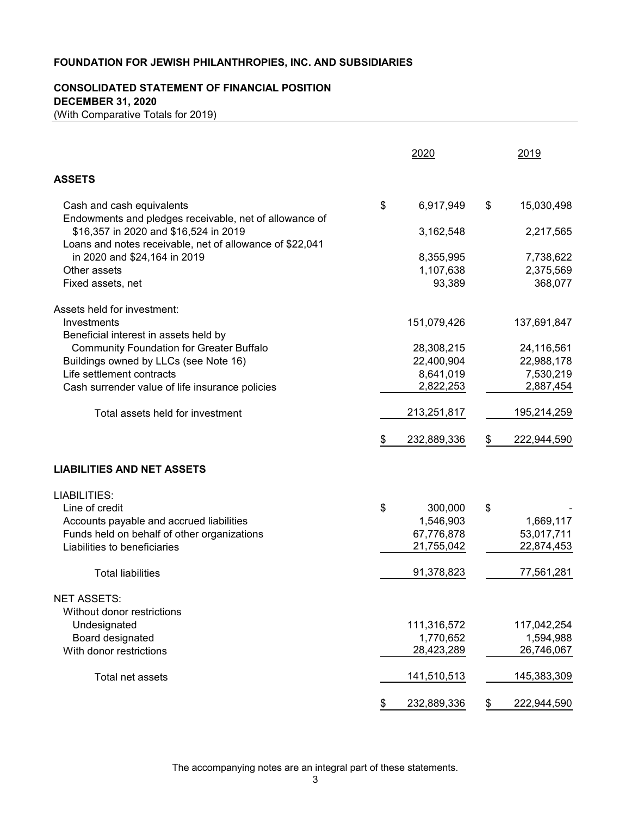## **DECEMBER 31, 2020 CONSOLIDATED STATEMENT OF FINANCIAL POSITION**

(With Comparative Totals for 2019)

|                                                                                                   | 2020              |                          | 2019        |
|---------------------------------------------------------------------------------------------------|-------------------|--------------------------|-------------|
| <b>ASSETS</b>                                                                                     |                   |                          |             |
| Cash and cash equivalents<br>Endowments and pledges receivable, net of allowance of               | \$<br>6,917,949   | \$                       | 15,030,498  |
| \$16,357 in 2020 and \$16,524 in 2019<br>Loans and notes receivable, net of allowance of \$22,041 | 3,162,548         |                          | 2,217,565   |
| in 2020 and \$24,164 in 2019                                                                      | 8,355,995         |                          | 7,738,622   |
| Other assets                                                                                      | 1,107,638         |                          | 2,375,569   |
| Fixed assets, net                                                                                 | 93,389            |                          | 368,077     |
| Assets held for investment:                                                                       |                   |                          |             |
| Investments<br>Beneficial interest in assets held by                                              | 151,079,426       |                          | 137,691,847 |
| <b>Community Foundation for Greater Buffalo</b>                                                   | 28,308,215        |                          | 24,116,561  |
| Buildings owned by LLCs (see Note 16)                                                             | 22,400,904        |                          | 22,988,178  |
| Life settlement contracts                                                                         | 8,641,019         |                          | 7,530,219   |
| Cash surrender value of life insurance policies                                                   | 2,822,253         |                          | 2,887,454   |
| Total assets held for investment                                                                  | 213,251,817       |                          | 195,214,259 |
|                                                                                                   | \$<br>232,889,336 | \$                       | 222,944,590 |
| <b>LIABILITIES AND NET ASSETS</b>                                                                 |                   |                          |             |
| LIABILITIES:                                                                                      |                   |                          |             |
| Line of credit                                                                                    | \$<br>300,000     | \$                       |             |
| Accounts payable and accrued liabilities                                                          | 1,546,903         |                          | 1,669,117   |
| Funds held on behalf of other organizations                                                       | 67,776,878        |                          | 53,017,711  |
| Liabilities to beneficiaries                                                                      | 21,755,042        |                          | 22,874,453  |
| <b>Total liabilities</b>                                                                          | 91,378,823        |                          | 77,561,281  |
| <b>NET ASSETS:</b>                                                                                |                   |                          |             |
| Without donor restrictions                                                                        |                   |                          |             |
| Undesignated                                                                                      | 111,316,572       |                          | 117,042,254 |
| Board designated                                                                                  | 1,770,652         |                          | 1,594,988   |
| With donor restrictions                                                                           | 28,423,289        |                          | 26,746,067  |
| Total net assets                                                                                  | 141,510,513       |                          | 145,383,309 |
|                                                                                                   | \$<br>232,889,336 | $\overline{\mathcal{F}}$ | 222,944,590 |

The accompanying notes are an integral part of these statements.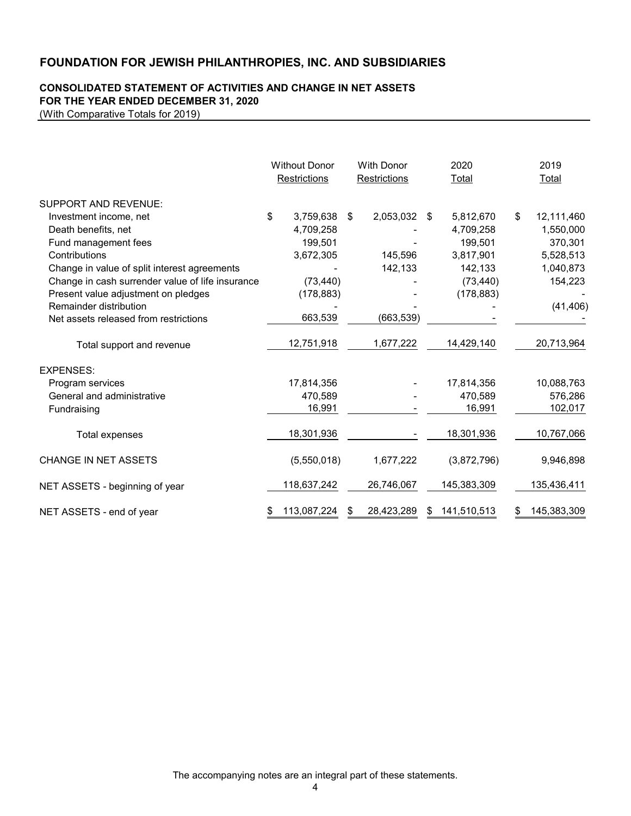## **FOR THE YEAR ENDED DECEMBER 31, 2020 CONSOLIDATED STATEMENT OF ACTIVITIES AND CHANGE IN NET ASSETS**

(With Comparative Totals for 2019)

|                                                  | <b>Without Donor</b><br>Restrictions | <b>With Donor</b><br>Restrictions |    | 2020<br>Total |    | 2019<br>Total |
|--------------------------------------------------|--------------------------------------|-----------------------------------|----|---------------|----|---------------|
| <b>SUPPORT AND REVENUE:</b>                      |                                      |                                   |    |               |    |               |
| Investment income, net                           | \$<br>3,759,638                      | \$<br>2,053,032                   | \$ | 5,812,670     | \$ | 12,111,460    |
| Death benefits, net                              | 4,709,258                            |                                   |    | 4,709,258     |    | 1,550,000     |
| Fund management fees                             | 199,501                              |                                   |    | 199,501       |    | 370,301       |
| Contributions                                    | 3,672,305                            | 145,596                           |    | 3,817,901     |    | 5,528,513     |
| Change in value of split interest agreements     |                                      | 142,133                           |    | 142,133       |    | 1,040,873     |
| Change in cash surrender value of life insurance | (73, 440)                            |                                   |    | (73, 440)     |    | 154,223       |
| Present value adjustment on pledges              | (178, 883)                           |                                   |    | (178, 883)    |    |               |
| Remainder distribution                           |                                      |                                   |    |               |    | (41, 406)     |
| Net assets released from restrictions            | 663,539                              | (663, 539)                        |    |               |    |               |
| Total support and revenue                        | 12,751,918                           | 1,677,222                         |    | 14,429,140    |    | 20,713,964    |
| <b>EXPENSES:</b>                                 |                                      |                                   |    |               |    |               |
| Program services                                 | 17,814,356                           |                                   |    | 17,814,356    |    | 10,088,763    |
| General and administrative                       | 470,589                              |                                   |    | 470,589       |    | 576,286       |
| Fundraising                                      | 16,991                               |                                   |    | 16,991        |    | 102,017       |
| Total expenses                                   | 18,301,936                           |                                   |    | 18,301,936    |    | 10,767,066    |
| CHANGE IN NET ASSETS                             | (5,550,018)                          | 1,677,222                         |    | (3,872,796)   |    | 9,946,898     |
| NET ASSETS - beginning of year                   | 118,637,242                          | 26,746,067                        |    | 145,383,309   |    | 135,436,411   |
| NET ASSETS - end of year                         | 113,087,224                          | 28,423,289                        | S  | 141,510,513   | S  | 145,383,309   |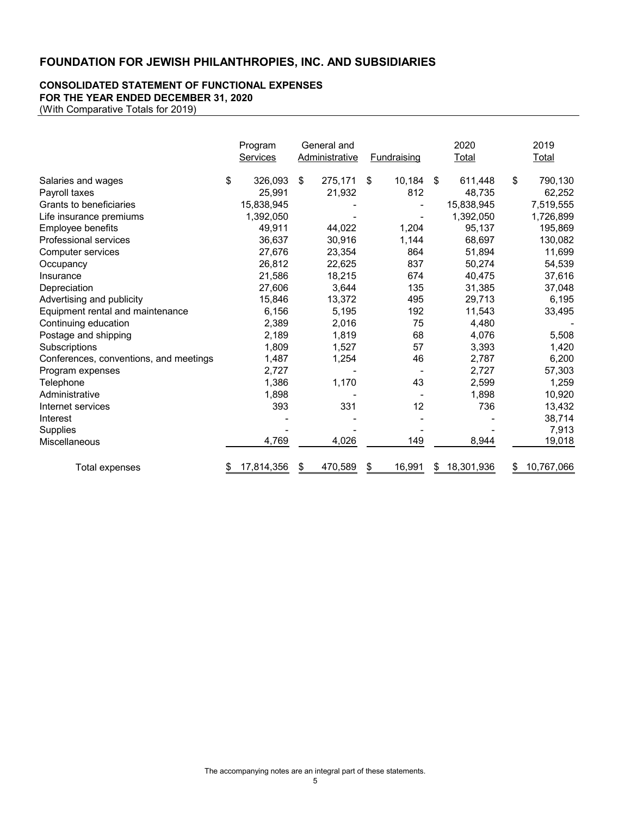# **CONSOLIDATED STATEMENT OF FUNCTIONAL EXPENSES**

**FOR THE YEAR ENDED DECEMBER 31, 2020**

(With Comparative Totals for 2019)

|                                        |    | Program<br>Services | General and<br>Administrative | Fundraising  |     | 2020<br>Total |    | 2019<br>Total |
|----------------------------------------|----|---------------------|-------------------------------|--------------|-----|---------------|----|---------------|
| Salaries and wages                     | \$ | 326,093             | \$<br>275,171                 | \$<br>10,184 | \$  | 611,448       | \$ | 790,130       |
| Payroll taxes                          |    | 25,991              | 21,932                        | 812          |     | 48.735        |    | 62,252        |
| Grants to beneficiaries                |    | 15,838,945          |                               |              |     | 15,838,945    |    | 7,519,555     |
| Life insurance premiums                |    | 1,392,050           |                               |              |     | 1,392,050     |    | 1,726,899     |
| <b>Employee benefits</b>               |    | 49,911              | 44,022                        | 1,204        |     | 95,137        |    | 195,869       |
| <b>Professional services</b>           |    | 36,637              | 30,916                        | 1,144        |     | 68,697        |    | 130,082       |
| Computer services                      |    | 27,676              | 23.354                        | 864          |     | 51,894        |    | 11,699        |
| Occupancy                              |    | 26,812              | 22,625                        | 837          |     | 50,274        |    | 54,539        |
| Insurance                              |    | 21,586              | 18,215                        | 674          |     | 40,475        |    | 37,616        |
| Depreciation                           |    | 27,606              | 3.644                         | 135          |     | 31,385        |    | 37,048        |
| Advertising and publicity              |    | 15,846              | 13,372                        | 495          |     | 29,713        |    | 6,195         |
| Equipment rental and maintenance       |    | 6,156               | 5,195                         | 192          |     | 11,543        |    | 33,495        |
| Continuing education                   |    | 2,389               | 2,016                         | 75           |     | 4,480         |    |               |
| Postage and shipping                   |    | 2,189               | 1,819                         | 68           |     | 4,076         |    | 5,508         |
| Subscriptions                          |    | 1,809               | 1,527                         | 57           |     | 3,393         |    | 1,420         |
| Conferences, conventions, and meetings |    | 1,487               | 1,254                         | 46           |     | 2,787         |    | 6,200         |
| Program expenses                       |    | 2,727               |                               |              |     | 2,727         |    | 57,303        |
| Telephone                              |    | 1,386               | 1,170                         | 43           |     | 2,599         |    | 1,259         |
| Administrative                         |    | 1,898               |                               |              |     | 1,898         |    | 10,920        |
| Internet services                      |    | 393                 | 331                           | 12           |     | 736           |    | 13,432        |
| Interest                               |    |                     |                               |              |     |               |    | 38,714        |
| Supplies                               |    |                     |                               |              |     |               |    | 7,913         |
| <b>Miscellaneous</b>                   |    | 4,769               | 4,026                         | 149          |     | 8,944         |    | 19,018        |
| Total expenses                         | S  | 17,814,356          | \$<br>470,589                 | \$<br>16,991 | \$. | 18,301,936    | S  | 10,767,066    |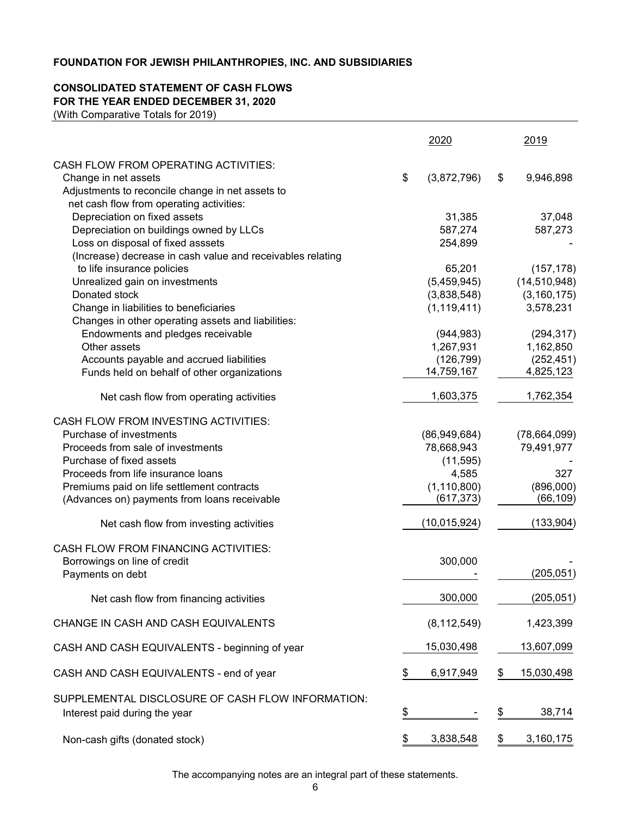## **CONSOLIDATED STATEMENT OF CASH FLOWS**

## **FOR THE YEAR ENDED DECEMBER 31, 2020**

(With Comparative Totals for 2019)

|                                                            | 2020              | 2019             |
|------------------------------------------------------------|-------------------|------------------|
| CASH FLOW FROM OPERATING ACTIVITIES:                       |                   |                  |
| Change in net assets                                       | \$<br>(3,872,796) | \$<br>9,946,898  |
| Adjustments to reconcile change in net assets to           |                   |                  |
| net cash flow from operating activities:                   |                   |                  |
| Depreciation on fixed assets                               | 31,385            | 37,048           |
| Depreciation on buildings owned by LLCs                    | 587,274           | 587,273          |
| Loss on disposal of fixed asssets                          | 254,899           |                  |
| (Increase) decrease in cash value and receivables relating |                   |                  |
| to life insurance policies                                 | 65,201            | (157, 178)       |
| Unrealized gain on investments                             | (5,459,945)       | (14, 510, 948)   |
| Donated stock                                              | (3,838,548)       | (3, 160, 175)    |
| Change in liabilities to beneficiaries                     | (1, 119, 411)     | 3,578,231        |
| Changes in other operating assets and liabilities:         |                   |                  |
| Endowments and pledges receivable                          | (944, 983)        | (294, 317)       |
| Other assets                                               | 1,267,931         | 1,162,850        |
| Accounts payable and accrued liabilities                   | (126, 799)        | (252, 451)       |
| Funds held on behalf of other organizations                | 14,759,167        | 4,825,123        |
|                                                            |                   |                  |
| Net cash flow from operating activities                    | 1,603,375         | 1,762,354        |
| CASH FLOW FROM INVESTING ACTIVITIES:                       |                   |                  |
| Purchase of investments                                    | (86,949,684)      | (78,664,099)     |
| Proceeds from sale of investments                          | 78,668,943        | 79,491,977       |
| Purchase of fixed assets                                   | (11, 595)         |                  |
| Proceeds from life insurance loans                         | 4,585             | 327              |
| Premiums paid on life settlement contracts                 | (1, 110, 800)     | (896,000)        |
| (Advances on) payments from loans receivable               | (617, 373)        | (66, 109)        |
| Net cash flow from investing activities                    | (10, 015, 924)    | (133, 904)       |
| <b>CASH FLOW FROM FINANCING ACTIVITIES:</b>                |                   |                  |
| Borrowings on line of credit                               | 300,000           |                  |
| Payments on debt                                           |                   | (205, 051)       |
| Net cash flow from financing activities                    | 300,000           | (205, 051)       |
| CHANGE IN CASH AND CASH EQUIVALENTS                        | (8, 112, 549)     | 1,423,399        |
|                                                            |                   |                  |
| CASH AND CASH EQUIVALENTS - beginning of year              | 15,030,498        | 13,607,099       |
| CASH AND CASH EQUIVALENTS - end of year                    | \$<br>6,917,949   | \$<br>15,030,498 |
| SUPPLEMENTAL DISCLOSURE OF CASH FLOW INFORMATION:          |                   |                  |
| Interest paid during the year                              | \$                | \$<br>38,714     |
| Non-cash gifts (donated stock)                             | \$<br>3,838,548   | \$<br>3,160,175  |

The accompanying notes are an integral part of these statements.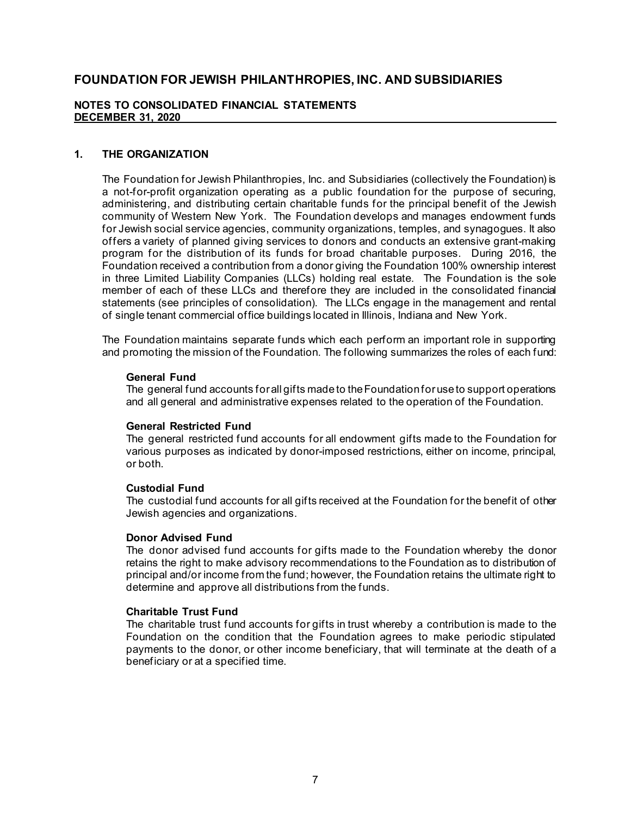#### **NOTES TO CONSOLIDATED FINANCIAL STATEMENTS DECEMBER 31, 2020**

### **1. THE ORGANIZATION**

The Foundation for Jewish Philanthropies, Inc. and Subsidiaries (collectively the Foundation) is a not-for-profit organization operating as a public foundation for the purpose of securing, administering, and distributing certain charitable funds for the principal benefit of the Jewish community of Western New York. The Foundation develops and manages endowment funds for Jewish social service agencies, community organizations, temples, and synagogues. It also offers a variety of planned giving services to donors and conducts an extensive grant-making program for the distribution of its funds for broad charitable purposes. During 2016, the Foundation received a contribution from a donor giving the Foundation 100% ownership interest in three Limited Liability Companies (LLCs) holding real estate. The Foundation is the sole member of each of these LLCs and therefore they are included in the consolidated financial statements (see principles of consolidation). The LLCs engage in the management and rental of single tenant commercial office buildings located in Illinois, Indiana and New York.

The Foundation maintains separate funds which each perform an important role in supporting and promoting the mission of the Foundation. The following summarizes the roles of each fund:

#### **General Fund**

The general fund accounts for all gifts made to the Foundation foruse to support operations and all general and administrative expenses related to the operation of the Foundation.

#### **General Restricted Fund**

The general restricted fund accounts for all endowment gifts made to the Foundation for various purposes as indicated by donor-imposed restrictions, either on income, principal, or both.

#### **Custodial Fund**

The custodial fund accounts for all gifts received at the Foundation for the benefit of other Jewish agencies and organizations.

#### **Donor Advised Fund**

The donor advised fund accounts for gifts made to the Foundation whereby the donor retains the right to make advisory recommendations to the Foundation as to distribution of principal and/or income from the fund; however, the Foundation retains the ultimate right to determine and approve all distributions from the funds.

#### **Charitable Trust Fund**

The charitable trust fund accounts for gifts in trust whereby a contribution is made to the Foundation on the condition that the Foundation agrees to make periodic stipulated payments to the donor, or other income beneficiary, that will terminate at the death of a beneficiary or at a specified time.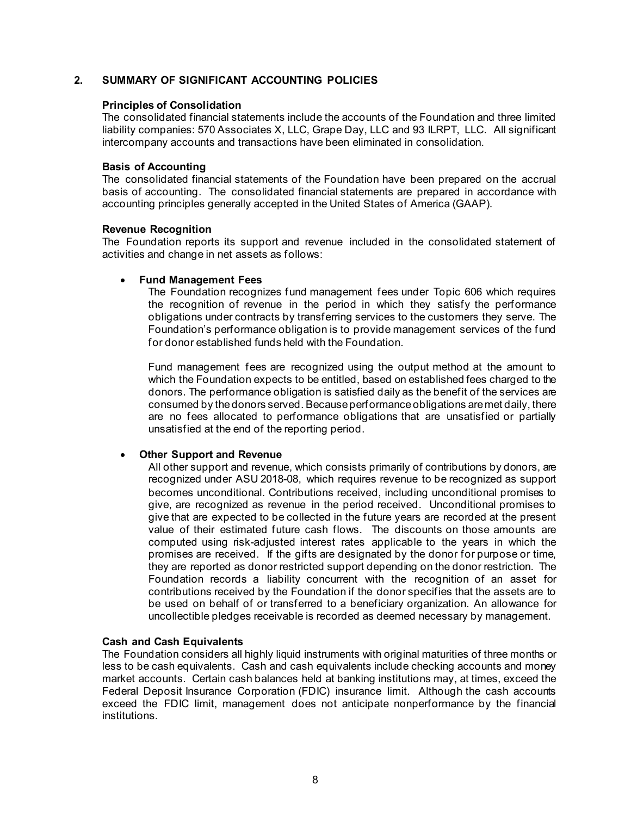## **2. SUMMARY OF SIGNIFICANT ACCOUNTING POLICIES**

#### **Principles of Consolidation**

The consolidated financial statements include the accounts of the Foundation and three limited liability companies: 570 Associates X, LLC, Grape Day, LLC and 93 ILRPT, LLC. All significant intercompany accounts and transactions have been eliminated in consolidation.

#### **Basis of Accounting**

The consolidated financial statements of the Foundation have been prepared on the accrual basis of accounting. The consolidated financial statements are prepared in accordance with accounting principles generally accepted in the United States of America (GAAP).

#### **Revenue Recognition**

The Foundation reports its support and revenue included in the consolidated statement of activities and change in net assets as follows:

#### • **Fund Management Fees**

The Foundation recognizes fund management fees under Topic 606 which requires the recognition of revenue in the period in which they satisfy the performance obligations under contracts by transferring services to the customers they serve. The Foundation's performance obligation is to provide management services of the fund for donor established funds held with the Foundation.

Fund management fees are recognized using the output method at the amount to which the Foundation expects to be entitled, based on established fees charged to the donors. The performance obligation is satisfied daily as the benefit of the services are consumed by the donors served. Because performance obligations are met daily, there are no fees allocated to performance obligations that are unsatisfied or partially unsatisfied at the end of the reporting period.

#### **Other Support and Revenue**

All other support and revenue, which consists primarily of contributions by donors, are recognized under ASU 2018-08, which requires revenue to be recognized as support becomes unconditional. Contributions received, including unconditional promises to give, are recognized as revenue in the period received. Unconditional promises to give that are expected to be collected in the future years are recorded at the present value of their estimated future cash flows. The discounts on those amounts are computed using risk-adjusted interest rates applicable to the years in which the promises are received. If the gifts are designated by the donor for purpose or time, they are reported as donor restricted support depending on the donor restriction. The Foundation records a liability concurrent with the recognition of an asset for contributions received by the Foundation if the donor specifies that the assets are to be used on behalf of or transferred to a beneficiary organization. An allowance for uncollectible pledges receivable is recorded as deemed necessary by management.

#### **Cash and Cash Equivalents**

The Foundation considers all highly liquid instruments with original maturities of three months or less to be cash equivalents. Cash and cash equivalents include checking accounts and money market accounts. Certain cash balances held at banking institutions may, at times, exceed the Federal Deposit Insurance Corporation (FDIC) insurance limit. Although the cash accounts exceed the FDIC limit, management does not anticipate nonperformance by the financial institutions.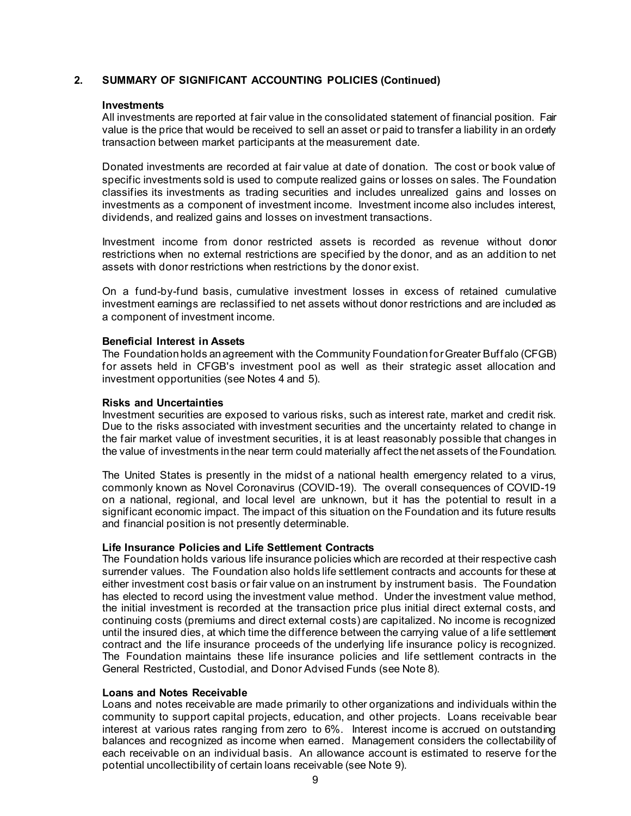## **2. SUMMARY OF SIGNIFICANT ACCOUNTING POLICIES (Continued)**

#### **Investments**

All investments are reported at fair value in the consolidated statement of financial position. Fair value is the price that would be received to sell an asset or paid to transfer a liability in an orderly transaction between market participants at the measurement date.

Donated investments are recorded at fair value at date of donation. The cost or book value of specific investments sold is used to compute realized gains or losses on sales. The Foundation classifies its investments as trading securities and includes unrealized gains and losses on investments as a component of investment income. Investment income also includes interest, dividends, and realized gains and losses on investment transactions.

Investment income from donor restricted assets is recorded as revenue without donor restrictions when no external restrictions are specified by the donor, and as an addition to net assets with donor restrictions when restrictions by the donor exist.

On a fund-by-fund basis, cumulative investment losses in excess of retained cumulative investment earnings are reclassified to net assets without donor restrictions and are included as a component of investment income.

#### **Beneficial Interest in Assets**

The Foundation holds an agreement with the Community Foundation for Greater Buffalo (CFGB) for assets held in CFGB's investment pool as well as their strategic asset allocation and investment opportunities (see Notes 4 and 5).

#### **Risks and Uncertainties**

Investment securities are exposed to various risks, such as interest rate, market and credit risk. Due to the risks associated with investment securities and the uncertainty related to change in the fair market value of investment securities, it is at least reasonably possible that changes in the value of investments in the near term could materially affect the net assets of the Foundation.

The United States is presently in the midst of a national health emergency related to a virus, commonly known as Novel Coronavirus (COVID-19). The overall consequences of COVID-19 on a national, regional, and local level are unknown, but it has the potential to result in a significant economic impact. The impact of this situation on the Foundation and its future results and financial position is not presently determinable.

## **Life Insurance Policies and Life Settlement Contracts**

The Foundation holds various life insurance policies which are recorded at their respective cash surrender values. The Foundation also holds life settlement contracts and accounts for these at either investment cost basis or fair value on an instrument by instrument basis. The Foundation has elected to record using the investment value method. Under the investment value method, the initial investment is recorded at the transaction price plus initial direct external costs, and continuing costs (premiums and direct external costs) are capitalized. No income is recognized until the insured dies, at which time the difference between the carrying value of a life settlement contract and the life insurance proceeds of the underlying life insurance policy is recognized. The Foundation maintains these life insurance policies and life settlement contracts in the General Restricted, Custodial, and Donor Advised Funds (see Note 8).

#### **Loans and Notes Receivable**

Loans and notes receivable are made primarily to other organizations and individuals within the community to support capital projects, education, and other projects. Loans receivable bear interest at various rates ranging from zero to 6%. Interest income is accrued on outstanding balances and recognized as income when earned. Management considers the collectability of each receivable on an individual basis. An allowance account is estimated to reserve for the potential uncollectibility of certain loans receivable (see Note 9).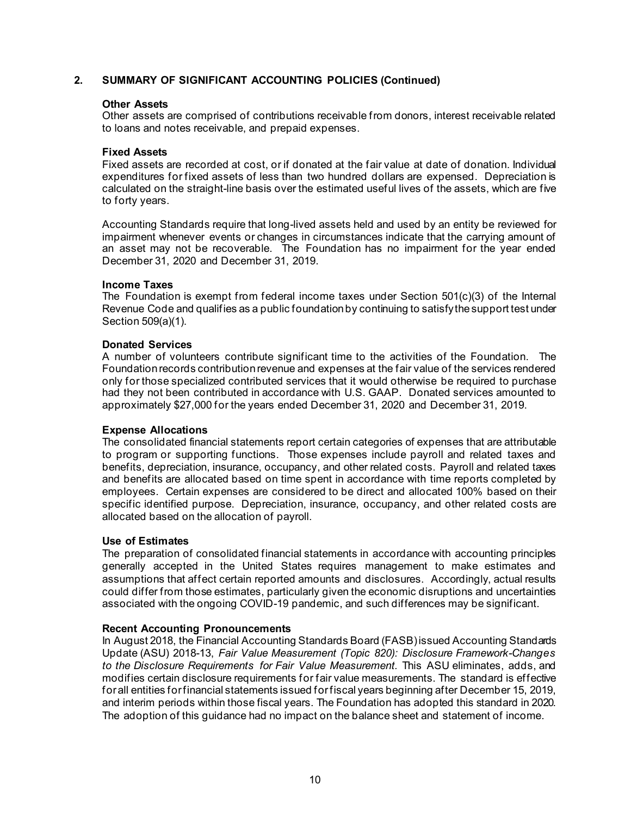## **2. SUMMARY OF SIGNIFICANT ACCOUNTING POLICIES (Continued)**

## **Other Assets**

Other assets are comprised of contributions receivable from donors, interest receivable related to loans and notes receivable, and prepaid expenses.

## **Fixed Assets**

Fixed assets are recorded at cost, or if donated at the fair value at date of donation. Individual expenditures for fixed assets of less than two hundred dollars are expensed. Depreciation is calculated on the straight-line basis over the estimated useful lives of the assets, which are five to forty years.

Accounting Standards require that long-lived assets held and used by an entity be reviewed for impairment whenever events or changes in circumstances indicate that the carrying amount of an asset may not be recoverable. The Foundation has no impairment for the year ended December 31, 2020 and December 31, 2019.

## **Income Taxes**

The Foundation is exempt from federal income taxes under Section 501(c)(3) of the Internal Revenue Code and qualifies as a public foundation by continuing to satisfy the support test under Section 509(a)(1).

## **Donated Services**

A number of volunteers contribute significant time to the activities of the Foundation. The Foundation records contribution revenue and expenses at the fair value of the services rendered only for those specialized contributed services that it would otherwise be required to purchase had they not been contributed in accordance with U.S. GAAP. Donated services amounted to approximately \$27,000 for the years ended December 31, 2020 and December 31, 2019.

#### **Expense Allocations**

The consolidated financial statements report certain categories of expenses that are attributable to program or supporting functions. Those expenses include payroll and related taxes and benefits, depreciation, insurance, occupancy, and other related costs. Payroll and related taxes and benefits are allocated based on time spent in accordance with time reports completed by employees. Certain expenses are considered to be direct and allocated 100% based on their specific identified purpose. Depreciation, insurance, occupancy, and other related costs are allocated based on the allocation of payroll.

## **Use of Estimates**

The preparation of consolidated financial statements in accordance with accounting principles generally accepted in the United States requires management to make estimates and assumptions that affect certain reported amounts and disclosures. Accordingly, actual results could differ from those estimates, particularly given the economic disruptions and uncertainties associated with the ongoing COVID-19 pandemic, and such differences may be significant.

## **Recent Accounting Pronouncements**

In August 2018, the Financial Accounting Standards Board (FASB) issued Accounting Standards Update (ASU) 2018-13, *Fair Value Measurement (Topic 820): Disclosure Framework-Changes to the Disclosure Requirements for Fair Value Measurement.* This ASU eliminates, adds, and modifies certain disclosure requirements for fair value measurements. The standard is effective for all entities for financial statements issued for fiscal years beginning after December 15, 2019, and interim periods within those fiscal years. The Foundation has adopted this standard in 2020. The adoption of this guidance had no impact on the balance sheet and statement of income.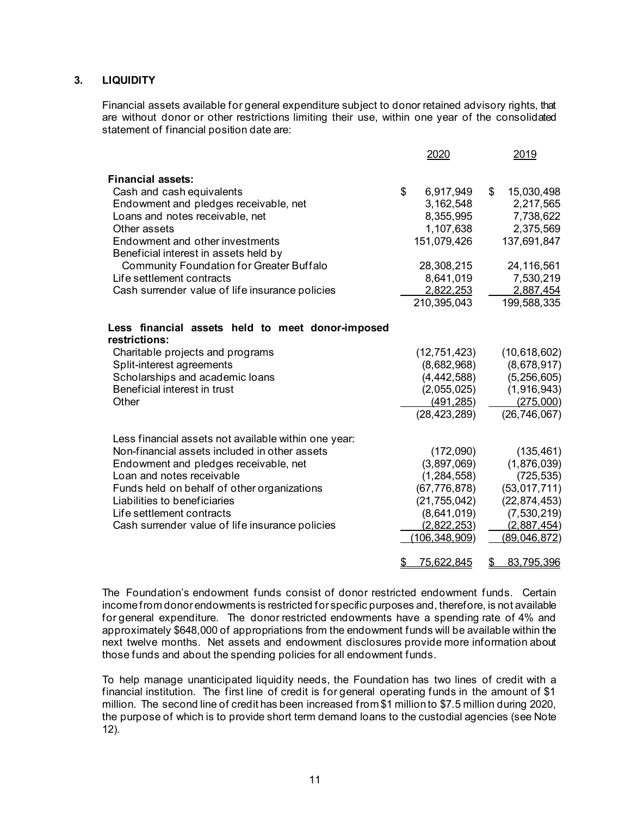## **3. LIQUIDITY**

Financial assets available for general expenditure subject to donor retained advisory rights, that are without donor or other restrictions limiting their use, within one year of the consolidated statement of financial position date are:

|                                                                                                                                                                                                                |    | 2020                                                                                          |    | 2019                                                                                         |
|----------------------------------------------------------------------------------------------------------------------------------------------------------------------------------------------------------------|----|-----------------------------------------------------------------------------------------------|----|----------------------------------------------------------------------------------------------|
| <b>Financial assets:</b>                                                                                                                                                                                       |    |                                                                                               |    |                                                                                              |
| Cash and cash equivalents                                                                                                                                                                                      | \$ | 6,917,949                                                                                     | \$ | 15,030,498                                                                                   |
| Endowment and pledges receivable, net                                                                                                                                                                          |    | 3,162,548                                                                                     |    | 2,217,565                                                                                    |
| Loans and notes receivable, net                                                                                                                                                                                |    | 8,355,995                                                                                     |    | 7,738,622                                                                                    |
| Other assets                                                                                                                                                                                                   |    | 1,107,638                                                                                     |    | 2,375,569                                                                                    |
| Endowment and other investments                                                                                                                                                                                |    | 151,079,426                                                                                   |    | 137,691,847                                                                                  |
| Beneficial interest in assets held by                                                                                                                                                                          |    |                                                                                               |    |                                                                                              |
| <b>Community Foundation for Greater Buffalo</b>                                                                                                                                                                |    | 28,308,215                                                                                    |    | 24, 116, 561                                                                                 |
| Life settlement contracts                                                                                                                                                                                      |    | 8,641,019                                                                                     |    | 7,530,219                                                                                    |
| Cash surrender value of life insurance policies                                                                                                                                                                |    | 2,822,253                                                                                     |    | 2,887,454                                                                                    |
|                                                                                                                                                                                                                |    | 210,395,043                                                                                   |    | 199,588,335                                                                                  |
| Less financial assets held to meet donor-imposed<br>restrictions:<br>Charitable projects and programs<br>Split-interest agreements<br>Scholarships and academic loans<br>Beneficial interest in trust<br>Other |    | (12, 751, 423)<br>(8,682,968)<br>(4, 442, 588)<br>(2,055,025)<br>(491, 285)<br>(28, 423, 289) |    | (10, 618, 602)<br>(8,678,917)<br>(5, 256, 605)<br>(1,916,943)<br>(275,000)<br>(26, 746, 067) |
| Less financial assets not available within one year:                                                                                                                                                           |    |                                                                                               |    |                                                                                              |
| Non-financial assets included in other assets                                                                                                                                                                  |    | (172,090)                                                                                     |    | (135, 461)                                                                                   |
| Endowment and pledges receivable, net                                                                                                                                                                          |    | (3,897,069)                                                                                   |    | (1,876,039)                                                                                  |
| Loan and notes receivable                                                                                                                                                                                      |    | (1, 284, 558)                                                                                 |    | (725, 535)                                                                                   |
| Funds held on behalf of other organizations                                                                                                                                                                    |    | (67, 776, 878)                                                                                |    | (53, 017, 711)                                                                               |
| Liabilities to beneficiaries                                                                                                                                                                                   |    | (21, 755, 042)                                                                                |    | (22, 874, 453)                                                                               |
| Life settlement contracts                                                                                                                                                                                      |    | (8,641,019)                                                                                   |    | (7, 530, 219)                                                                                |
| Cash surrender value of life insurance policies                                                                                                                                                                |    | (2,822,253)                                                                                   |    | (2,887,454)                                                                                  |
|                                                                                                                                                                                                                |    | <u>(106,348,909)</u>                                                                          |    | (89,046,872)                                                                                 |
|                                                                                                                                                                                                                | S  | 75.622.845                                                                                    | S  | 83.795.396                                                                                   |

The Foundation's endowment funds consist of donor restricted endowment funds. Certain income from donor endowments is restricted for specific purposes and, therefore, is not available for general expenditure. The donor restricted endowments have a spending rate of 4% and approximately \$648,000 of appropriations from the endowment funds will be available within the next twelve months. Net assets and endowment disclosures provide more information about those funds and about the spending policies for all endowment funds.

To help manage unanticipated liquidity needs, the Foundation has two lines of credit with a financial institution. The first line of credit is for general operating funds in the amount of \$1 million. The second line of credit has been increased from \$1 million to \$7.5 million during 2020, the purpose of which is to provide short term demand loans to the custodial agencies (see Note 12).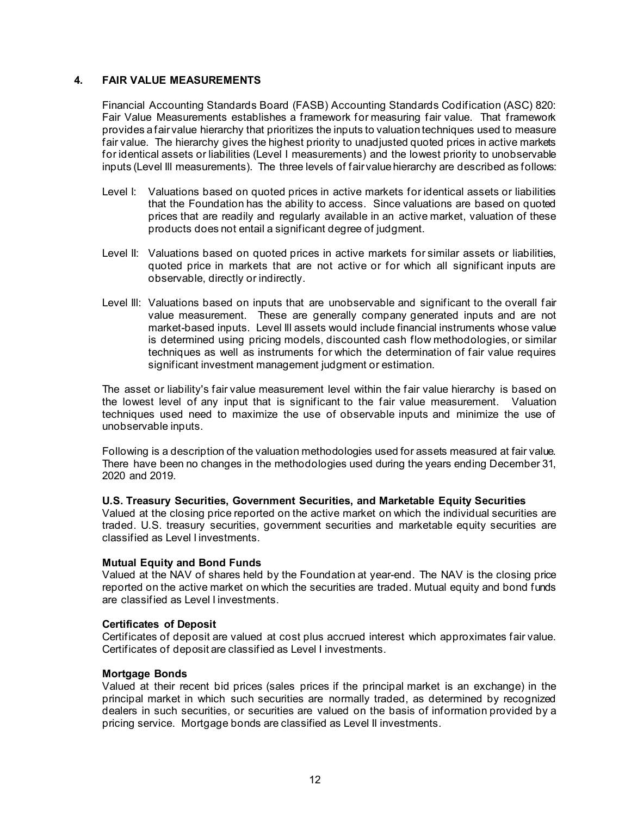## **4. FAIR VALUE MEASUREMENTS**

Financial Accounting Standards Board (FASB) Accounting Standards Codification (ASC) 820: Fair Value Measurements establishes a framework for measuring fair value. That framework provides a fair value hierarchy that prioritizes the inputs to valuation techniques used to measure fair value. The hierarchy gives the highest priority to unadjusted quoted prices in active markets for identical assets or liabilities (Level I measurements) and the lowest priority to unobservable inputs (Level Ill measurements). The three levels of fair value hierarchy are described as follows:

- Level I: Valuations based on quoted prices in active markets for identical assets or liabilities that the Foundation has the ability to access. Since valuations are based on quoted prices that are readily and regularly available in an active market, valuation of these products does not entail a significant degree of judgment.
- Level II: Valuations based on quoted prices in active markets for similar assets or liabilities, quoted price in markets that are not active or for which all significant inputs are observable, directly or indirectly.
- Level Ill: Valuations based on inputs that are unobservable and significant to the overall fair value measurement. These are generally company generated inputs and are not market-based inputs. Level Ill assets would include financial instruments whose value is determined using pricing models, discounted cash flow methodologies, or similar techniques as well as instruments for which the determination of fair value requires significant investment management judgment or estimation.

The asset or liability's fair value measurement level within the fair value hierarchy is based on the lowest level of any input that is significant to the fair value measurement. Valuation techniques used need to maximize the use of observable inputs and minimize the use of unobservable inputs.

Following is a description of the valuation methodologies used for assets measured at fair value. There have been no changes in the methodologies used during the years ending December 31, 2020 and 2019.

#### **U.S. Treasury Securities, Government Securities, and Marketable Equity Securities**

Valued at the closing price reported on the active market on which the individual securities are traded. U.S. treasury securities, government securities and marketable equity securities are classified as Level I investments.

#### **Mutual Equity and Bond Funds**

Valued at the NAV of shares held by the Foundation at year-end. The NAV is the closing price reported on the active market on which the securities are traded. Mutual equity and bond funds are classified as Level I investments.

### **Certificates of Deposit**

Certificates of deposit are valued at cost plus accrued interest which approximates fair value. Certificates of deposit are classified as Level I investments.

#### **Mortgage Bonds**

Valued at their recent bid prices (sales prices if the principal market is an exchange) in the principal market in which such securities are normally traded, as determined by recognized dealers in such securities, or securities are valued on the basis of information provided by a pricing service. Mortgage bonds are classified as Level II investments.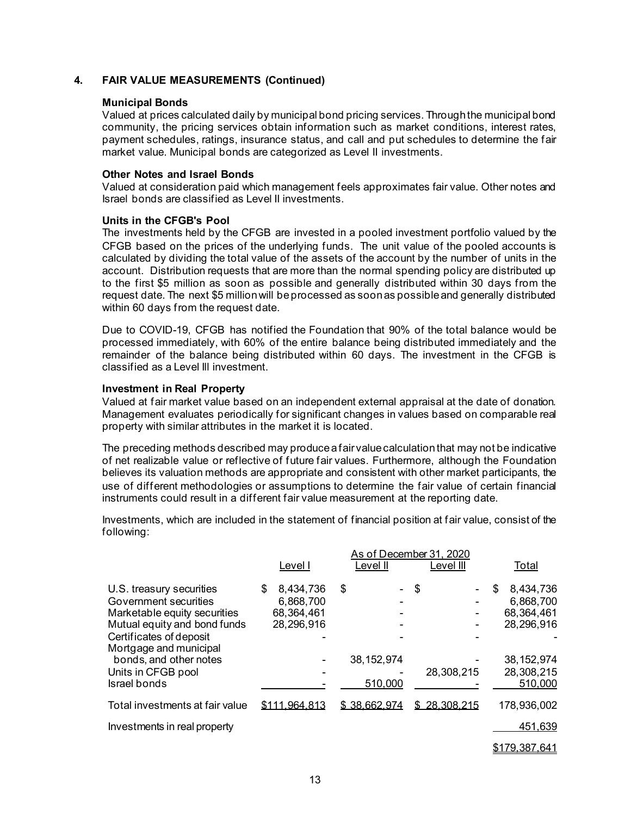## **4. FAIR VALUE MEASUREMENTS (Continued)**

## **Municipal Bonds**

Valued at prices calculated daily by municipal bond pricing services. Through the municipal bond community, the pricing services obtain information such as market conditions, interest rates, payment schedules, ratings, insurance status, and call and put schedules to determine the fair market value. Municipal bonds are categorized as Level II investments.

## **Other Notes and Israel Bonds**

Valued at consideration paid which management feels approximates fair value. Other notes and Israel bonds are classified as Level II investments.

## **Units in the CFGB's Pool**

The investments held by the CFGB are invested in a pooled investment portfolio valued by the CFGB based on the prices of the underlying funds. The unit value of the pooled accounts is calculated by dividing the total value of the assets of the account by the number of units in the account. Distribution requests that are more than the normal spending policy are distributed up to the first \$5 million as soon as possible and generally distributed within 30 days from the request date. The next \$5 million will be processed as soon as possible and generally distributed within 60 days from the request date.

Due to COVID-19, CFGB has notified the Foundation that 90% of the total balance would be processed immediately, with 60% of the entire balance being distributed immediately and the remainder of the balance being distributed within 60 days. The investment in the CFGB is classified as a Level Ill investment.

## **Investment in Real Property**

Valued at fair market value based on an independent external appraisal at the date of donation. Management evaluates periodically for significant changes in values based on comparable real property with similar attributes in the market it is located.

The preceding methods described may produce a fair value calculation that may not be indicative of net realizable value or reflective of future fair values. Furthermore, although the Foundation believes its valuation methods are appropriate and consistent with other market participants, the use of different methodologies or assumptions to determine the fair value of certain financial instruments could result in a different fair value measurement at the reporting date.

Investments, which are included in the statement of financial position at fair value, consist of the following:

|                                                                                                                                                                                                                                        | As of December 31, 2020                                 |                               |                  |                                                                                                   |  |  |
|----------------------------------------------------------------------------------------------------------------------------------------------------------------------------------------------------------------------------------------|---------------------------------------------------------|-------------------------------|------------------|---------------------------------------------------------------------------------------------------|--|--|
|                                                                                                                                                                                                                                        | Level I                                                 | Level II                      | Level III        | <u>Total</u>                                                                                      |  |  |
| U.S. treasury securities<br>Government securities<br>Marketable equity securities<br>Mutual equity and bond funds<br>Certificates of deposit<br>Mortgage and municipal<br>bonds, and other notes<br>Units in CFGB pool<br>Israel bonds | 8,434,736<br>S<br>6,868,700<br>68,364,461<br>28,296,916 | \$<br>38, 152, 974<br>510,000 | \$<br>28,308,215 | 8,434,736<br>\$<br>6,868,700<br>68,364,461<br>28,296,916<br>38, 152, 974<br>28,308,215<br>510,000 |  |  |
| Total investments at fair value                                                                                                                                                                                                        | \$111.964.813                                           | \$38.662.974                  | \$28.308.215     | 178,936,002                                                                                       |  |  |
| Investments in real property                                                                                                                                                                                                           |                                                         |                               |                  | 451,639                                                                                           |  |  |
|                                                                                                                                                                                                                                        |                                                         |                               |                  | \$179.387.641                                                                                     |  |  |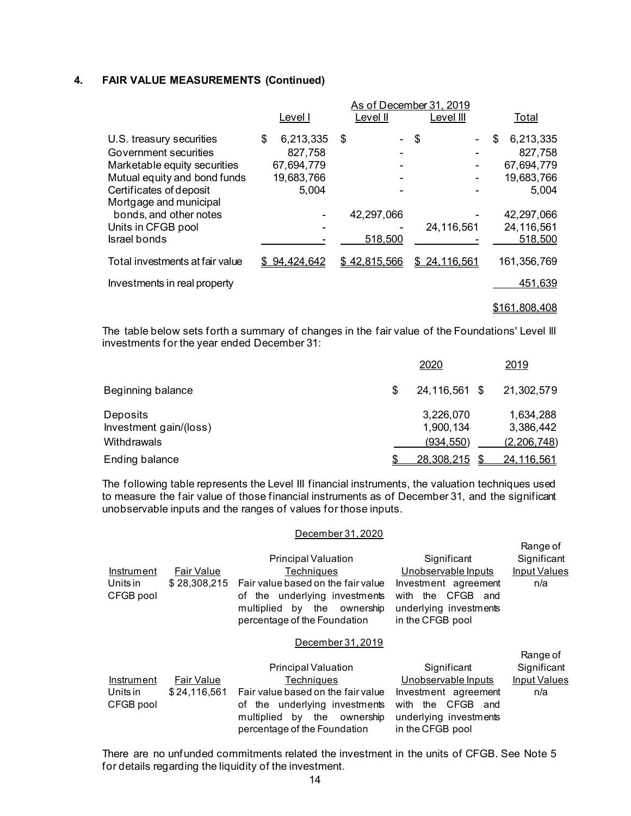## **4. FAIR VALUE MEASUREMENTS (Continued)**

|                                                                                        | As of December 31, 2019 |                       |                  |                                     |  |  |
|----------------------------------------------------------------------------------------|-------------------------|-----------------------|------------------|-------------------------------------|--|--|
|                                                                                        | <u>Level I</u>          | Level II              | <u>Level III</u> | <u>Total</u>                        |  |  |
| U.S. treasury securities                                                               | \$<br>6,213,335         | \$                    | -\$<br>-         | 6,213,335<br>\$                     |  |  |
| Government securities                                                                  | 827,758                 |                       |                  | 827,758                             |  |  |
| Marketable equity securities                                                           | 67,694,779              |                       |                  | 67,694,779                          |  |  |
| Mutual equity and bond funds                                                           | 19,683,766              |                       |                  | 19,683,766                          |  |  |
| Certificates of deposit                                                                | 5,004                   |                       |                  | 5,004                               |  |  |
| Mortgage and municipal<br>bonds, and other notes<br>Units in CFGB pool<br>Israel bonds |                         | 42,297,066<br>518,500 | 24,116,561       | 42,297,066<br>24,116,561<br>518,500 |  |  |
| Total investments at fair value                                                        | \$94.424.642            | \$42.815.566          | 24.116.561       | 161,356,769                         |  |  |
| Investments in real property                                                           |                         |                       |                  | 451,639                             |  |  |

#### \$161,808,408

The table below sets forth a summary of changes in the fair value of the Foundations' Level Ill investments for the year ended December 31:

|                                                   |   | 2020                                 | 2019                                    |
|---------------------------------------------------|---|--------------------------------------|-----------------------------------------|
| Beginning balance                                 | S | 24,116,561 \$                        | 21,302,579                              |
| Deposits<br>Investment gain/(loss)<br>Withdrawals |   | 3,226,070<br>1,900,134<br>(934, 550) | 1,634,288<br>3,386,442<br>(2, 206, 748) |
| Ending balance                                    |   | 28.308.215                           | <u>24.116.561</u>                       |

The following table represents the Level III financial instruments, the valuation techniques used to measure the fair value of those financial instruments as of December 31, and the significant unobservable inputs and the ranges of values for those inputs.

#### December 31, 2020

| Instrument<br>Units in<br>CFGB pool | <b>Fair Value</b><br>\$28,308,215 | <b>Principal Valuation</b><br><b>Techniques</b><br>Fair value based on the fair value<br>of the underlying investments<br>multiplied by the<br>ownership<br>percentage of the Foundation | Significant<br>Unobservable Inputs<br>Investment agreement<br>the CFGB and<br>with<br>underlying investments<br>in the CFGB pool | Range of<br>Significant<br><b>Input Values</b><br>n/a |
|-------------------------------------|-----------------------------------|------------------------------------------------------------------------------------------------------------------------------------------------------------------------------------------|----------------------------------------------------------------------------------------------------------------------------------|-------------------------------------------------------|
|                                     |                                   | December 31, 2019                                                                                                                                                                        |                                                                                                                                  |                                                       |
|                                     |                                   | <b>Principal Valuation</b>                                                                                                                                                               | Significant                                                                                                                      | Range of<br>Significant                               |
| Instrument                          | <b>Fair Value</b>                 | <b>Techniques</b>                                                                                                                                                                        | Unobservable Inputs                                                                                                              | Input Values                                          |
| Units in<br>CFGB pool               | \$24,116,561                      | Fair value based on the fair value<br>of the underlying investments<br>multiplied by the<br>ownership<br>percentage of the Foundation                                                    | Investment agreement<br>the CFGB and<br>with<br>underlying investments<br>in the CFGB pool                                       | n/a                                                   |

There are no unfunded commitments related the investment in the units of CFGB. See Note 5 for details regarding the liquidity of the investment.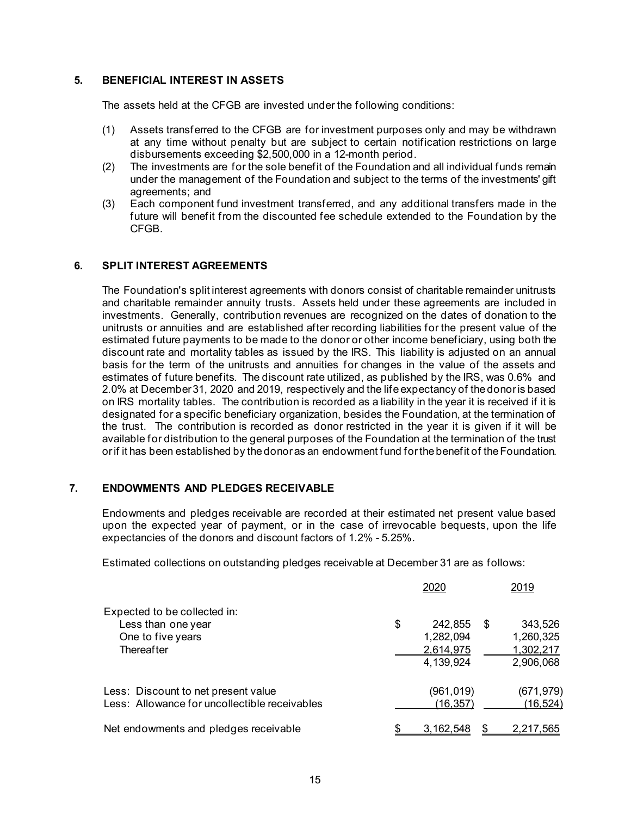## **5. BENEFICIAL INTEREST IN ASSETS**

The assets held at the CFGB are invested under the following conditions:

- (1) Assets transferred to the CFGB are for investment purposes only and may be withdrawn at any time without penalty but are subject to certain notification restrictions on large disbursements exceeding \$2,500,000 in a 12-month period.
- (2) The investments are for the sole benefit of the Foundation and all individual funds remain under the management of the Foundation and subject to the terms of the investments' gift agreements; and
- (3) Each component fund investment transferred, and any additional transfers made in the future will benefit from the discounted fee schedule extended to the Foundation by the CFGB.

## **6. SPLIT INTEREST AGREEMENTS**

The Foundation's split interest agreements with donors consist of charitable remainder unitrusts and charitable remainder annuity trusts. Assets held under these agreements are included in investments. Generally, contribution revenues are recognized on the dates of donation to the unitrusts or annuities and are established after recording liabilities for the present value of the estimated future payments to be made to the donor or other income beneficiary, using both the discount rate and mortality tables as issued by the IRS. This liability is adjusted on an annual basis for the term of the unitrusts and annuities for changes in the value of the assets and estimates of future benefits. The discount rate utilized, as published by the IRS, was 0.6% and 2.0% at December 31, 2020 and 2019, respectively and the life expectancy of the donor is based on IRS mortality tables. The contribution is recorded as a liability in the year it is received if it is designated for a specific beneficiary organization, besides the Foundation, at the termination of the trust. The contribution is recorded as donor restricted in the year it is given if it will be available for distribution to the general purposes of the Foundation at the termination of the trust or if it has been established by the donor as an endowment fund for the benefit of the Foundation.

## **7. ENDOWMENTS AND PLEDGES RECEIVABLE**

Endowments and pledges receivable are recorded at their estimated net present value based upon the expected year of payment, or in the case of irrevocable bequests, upon the life expectancies of the donors and discount factors of 1.2% - 5.25%.

Estimated collections on outstanding pledges receivable at December 31 are as follows:

|                                               | 2020          |      | <u> 2019</u> |
|-----------------------------------------------|---------------|------|--------------|
| Expected to be collected in:                  |               |      |              |
| Less than one year                            | \$<br>242,855 | - \$ | 343,526      |
| One to five years                             | 1,282,094     |      | 1,260,325    |
| Thereafter                                    | 2,614,975     |      | 1,302,217    |
|                                               | 4,139,924     |      | 2,906,068    |
| Less: Discount to net present value           | (961,019)     |      | (671, 979)   |
| Less: Allowance for uncollectible receivables | (16, 357)     |      | (16, 524)    |
| Net endowments and pledges receivable         | 3.162.548     |      | 2.217.565    |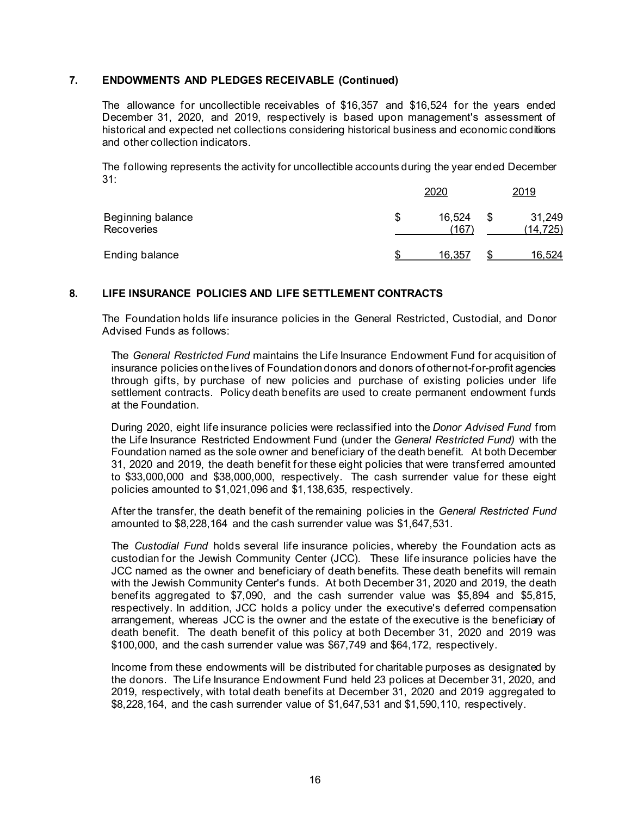## **7. ENDOWMENTS AND PLEDGES RECEIVABLE (Continued)**

The allowance for uncollectible receivables of \$16,357 and \$16,524 for the years ended December 31, 2020, and 2019, respectively is based upon management's assessment of historical and expected net collections considering historical business and economic conditions and other collection indicators.

The following represents the activity for uncollectible accounts during the year ended December 31:

|                                        | 2020           |     | 2019                |
|----------------------------------------|----------------|-----|---------------------|
| Beginning balance<br><b>Recoveries</b> | 16.524<br>167) | \$. | 31,249<br>(14, 725) |
| Ending balance                         | 16.357         |     | 16.524              |

#### **8. LIFE INSURANCE POLICIES AND LIFE SETTLEMENT CONTRACTS**

The Foundation holds life insurance policies in the General Restricted, Custodial, and Donor Advised Funds as follows:

The *General Restricted Fund* maintains the Life Insurance Endowment Fund for acquisition of insurance policies on the lives of Foundation donors and donors of other not-for-profit agencies through gifts, by purchase of new policies and purchase of existing policies under life settlement contracts. Policy death benefits are used to create permanent endowment funds at the Foundation.

During 2020, eight life insurance policies were reclassified into the *Donor Advised Fund* from the Life Insurance Restricted Endowment Fund (under the *General Restricted Fund)* with the Foundation named as the sole owner and beneficiary of the death benefit. At both December 31, 2020 and 2019, the death benefit for these eight policies that were transferred amounted to \$33,000,000 and \$38,000,000, respectively. The cash surrender value for these eight policies amounted to \$1,021,096 and \$1,138,635, respectively.

After the transfer, the death benefit of the remaining policies in the *General Restricted Fund* amounted to \$8,228,164 and the cash surrender value was \$1,647,531.

The *Custodial Fund* holds several life insurance policies, whereby the Foundation acts as custodian for the Jewish Community Center (JCC). These life insurance policies have the JCC named as the owner and beneficiary of death benefits. These death benefits will remain with the Jewish Community Center's funds. At both December 31, 2020 and 2019, the death benefits aggregated to \$7,090, and the cash surrender value was \$5,894 and \$5,815, respectively. In addition, JCC holds a policy under the executive's deferred compensation arrangement, whereas JCC is the owner and the estate of the executive is the beneficiary of death benefit. The death benefit of this policy at both December 31, 2020 and 2019 was \$100,000, and the cash surrender value was \$67,749 and \$64,172, respectively.

Income from these endowments will be distributed for charitable purposes as designated by the donors. The Life Insurance Endowment Fund held 23 polices at December 31, 2020, and 2019, respectively, with total death benefits at December 31, 2020 and 2019 aggregated to \$8,228,164, and the cash surrender value of \$1,647,531 and \$1,590,110, respectively.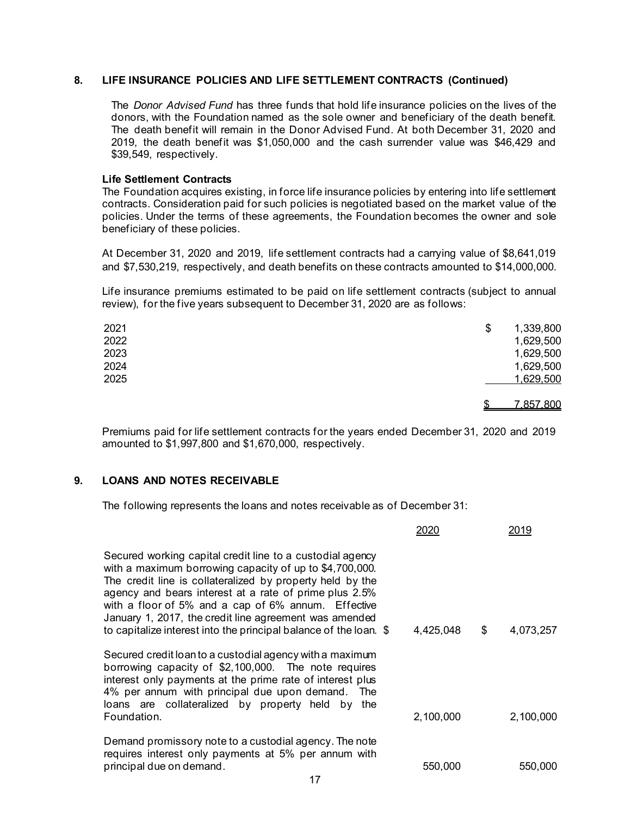## **8. LIFE INSURANCE POLICIES AND LIFE SETTLEMENT CONTRACTS (Continued)**

The *Donor Advised Fund* has three funds that hold life insurance policies on the lives of the donors, with the Foundation named as the sole owner and beneficiary of the death benefit. The death benefit will remain in the Donor Advised Fund. At both December 31, 2020 and 2019, the death benefit was \$1,050,000 and the cash surrender value was \$46,429 and \$39,549, respectively.

## **Life Settlement Contracts**

The Foundation acquires existing, in force life insurance policies by entering into life settlement contracts. Consideration paid for such policies is negotiated based on the market value of the policies. Under the terms of these agreements, the Foundation becomes the owner and sole beneficiary of these policies.

At December 31, 2020 and 2019, life settlement contracts had a carrying value of \$8,641,019 and \$7,530,219, respectively, and death benefits on these contracts amounted to \$14,000,000.

Life insurance premiums estimated to be paid on life settlement contracts (subject to annual review), for the five years subsequent to December 31, 2020 are as follows:

| 2021 | \$ | 1,339,800 |
|------|----|-----------|
| 2022 |    | 1,629,500 |
| 2023 |    | 1,629,500 |
| 2024 |    | 1,629,500 |
| 2025 |    | 1,629,500 |
|      | ፍ  | 7.857.800 |

Premiums paid for life settlement contracts for the years ended December 31, 2020 and 2019 amounted to \$1,997,800 and \$1,670,000, respectively.

## **9. LOANS AND NOTES RECEIVABLE**

The following represents the loans and notes receivable as of December 31:

|                                                                                                                                                                                                                                                                                                                                                                                                                                   | 2020      | 2019            |
|-----------------------------------------------------------------------------------------------------------------------------------------------------------------------------------------------------------------------------------------------------------------------------------------------------------------------------------------------------------------------------------------------------------------------------------|-----------|-----------------|
| Secured working capital credit line to a custodial agency<br>with a maximum borrowing capacity of up to \$4,700,000.<br>The credit line is collateralized by property held by the<br>agency and bears interest at a rate of prime plus 2.5%<br>with a floor of 5% and a cap of 6% annum. Effective<br>January 1, 2017, the credit line agreement was amended<br>to capitalize interest into the principal balance of the loan. \$ | 4,425,048 | \$<br>4,073,257 |
| Secured credit loan to a custodial agency with a maximum<br>borrowing capacity of \$2,100,000. The note requires<br>interest only payments at the prime rate of interest plus<br>4% per annum with principal due upon demand. The<br>loans are collateralized by property held by the                                                                                                                                             |           |                 |
| Foundation.                                                                                                                                                                                                                                                                                                                                                                                                                       | 2,100,000 | 2,100,000       |
| Demand promissory note to a custodial agency. The note<br>requires interest only payments at 5% per annum with                                                                                                                                                                                                                                                                                                                    |           |                 |
| principal due on demand.                                                                                                                                                                                                                                                                                                                                                                                                          | 550,000   | 550,000         |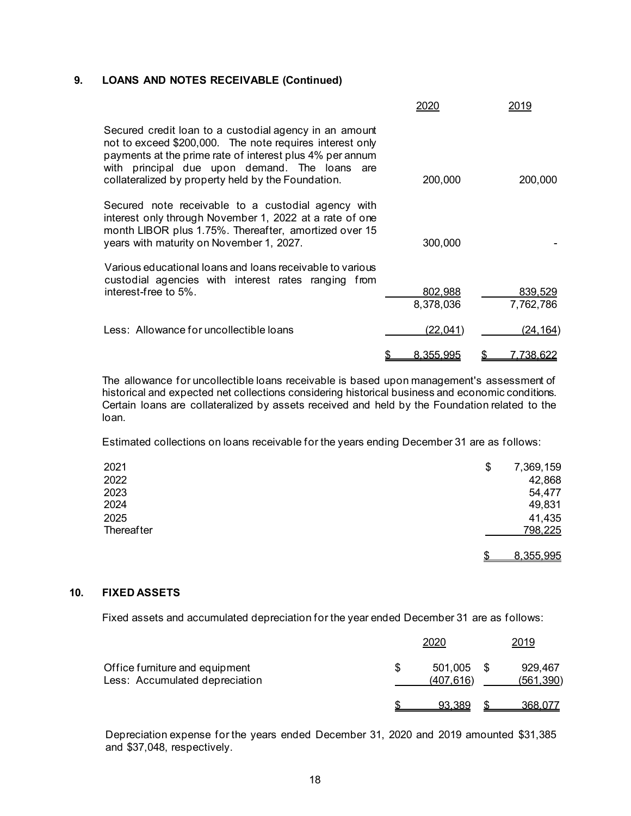## **9. LOANS AND NOTES RECEIVABLE (Continued)**

|                                                                                                                                                                                                                                                                                       | 2020                 | 2019                 |
|---------------------------------------------------------------------------------------------------------------------------------------------------------------------------------------------------------------------------------------------------------------------------------------|----------------------|----------------------|
| Secured credit loan to a custodial agency in an amount<br>not to exceed \$200,000. The note requires interest only<br>payments at the prime rate of interest plus 4% per annum<br>with principal due upon demand. The loans are<br>collateralized by property held by the Foundation. | 200,000              | 200,000              |
| Secured note receivable to a custodial agency with<br>interest only through November 1, 2022 at a rate of one<br>month LIBOR plus 1.75%. Thereafter, amortized over 15<br>years with maturity on November 1, 2027.                                                                    | 300,000              |                      |
| Various educational loans and loans receivable to various<br>custodial agencies with interest rates ranging from<br>interest-free to 5%.                                                                                                                                              | 802,988<br>8,378,036 | 839,529<br>7,762,786 |
| Less: Allowance for uncollectible loans                                                                                                                                                                                                                                               | (22,041)             | (24, 164)            |
|                                                                                                                                                                                                                                                                                       | 8.355.995            | <u>7.738.622</u>     |

The allowance for uncollectible loans receivable is based upon management's assessment of historical and expected net collections considering historical business and economic conditions. Certain loans are collateralized by assets received and held by the Foundation related to the loan.

Estimated collections on loans receivable for the years ending December 31 are as follows:

| 2021       | 7,369,159<br>\$ |
|------------|-----------------|
| 2022       | 42,868          |
| 2023       | 54,477          |
| 2024       | 49,831          |
| 2025       | 41,435          |
| Thereafter | 798,225         |
|            | 8.355.995<br>¢  |

#### **10. FIXED ASSETS**

Fixed assets and accumulated depreciation for the year ended December 31 are as follows:

|                                                                  | 2020                  |      | <u> 2019</u>          |
|------------------------------------------------------------------|-----------------------|------|-----------------------|
| Office furniture and equipment<br>Less: Accumulated depreciation | 501,005<br>(407, 616) | - \$ | 929,467<br>(561, 390) |
|                                                                  | 93.389                |      | 368.077               |

Depreciation expense for the years ended December 31, 2020 and 2019 amounted \$31,385 and \$37,048, respectively.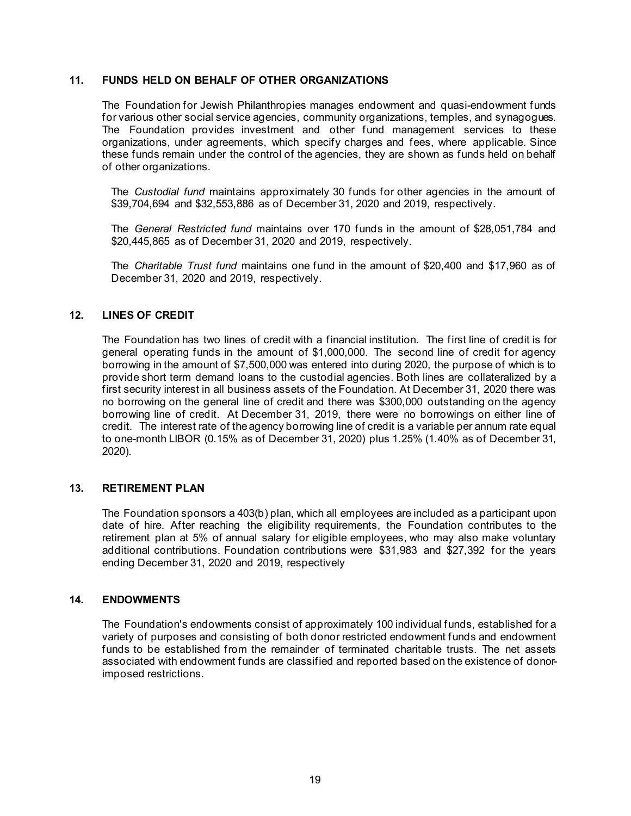## **11. FUNDS HELD ON BEHALF OF OTHER ORGANIZATIONS**

The Foundation for Jewish Philanthropies manages endowment and quasi-endowment funds for various other social service agencies, community organizations, temples, and synagogues. The Foundation provides investment and other fund management services to these organizations, under agreements, which specify charges and fees, where applicable. Since these funds remain under the control of the agencies, they are shown as funds held on behalf of other organizations.

The *Custodial fund* maintains approximately 30 funds for other agencies in the amount of \$39,704,694 and \$32,553,886 as of December 31, 2020 and 2019, respectively.

The *General Restricted fund* maintains over 170 funds in the amount of \$28,051,784 and \$20,445,865 as of December 31, 2020 and 2019, respectively.

The *Charitable Trust fund* maintains one fund in the amount of \$20,400 and \$17,960 as of December 31, 2020 and 2019, respectively.

## **12. LINES OF CREDIT**

The Foundation has two lines of credit with a financial institution. The first line of credit is for general operating funds in the amount of \$1,000,000. The second line of credit for agency borrowing in the amount of \$7,500,000 was entered into during 2020, the purpose of which is to provide short term demand loans to the custodial agencies. Both lines are collateralized by a first security interest in all business assets of the Foundation. At December 31, 2020 there was no borrowing on the general line of credit and there was \$300,000 outstanding on the agency borrowing line of credit. At December 31, 2019, there were no borrowings on either line of credit. The interest rate of the agency borrowing line of credit is a variable per annum rate equal to one-month LIBOR (0.15% as of December 31, 2020) plus 1.25% (1.40% as of December 31, 2020).

#### **13. RETIREMENT PLAN**

The Foundation sponsors a 403(b) plan, which all employees are included as a participant upon date of hire. After reaching the eligibility requirements, the Foundation contributes to the retirement plan at 5% of annual salary for eligible employees, who may also make voluntary additional contributions. Foundation contributions were \$31,983 and \$27,392 for the years ending December 31, 2020 and 2019, respectively

#### **14. ENDOWMENTS**

The Foundation's endowments consist of approximately 100 individual funds, established for a variety of purposes and consisting of both donor restricted endowment funds and endowment funds to be established from the remainder of terminated charitable trusts. The net assets associated with endowment funds are classified and reported based on the existence of donorimposed restrictions.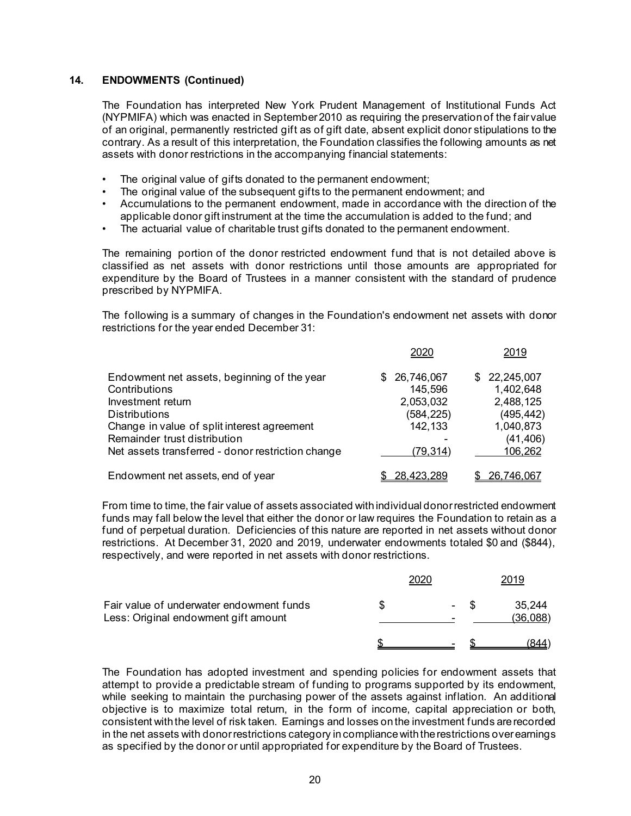## **14. ENDOWMENTS (Continued)**

The Foundation has interpreted New York Prudent Management of Institutional Funds Act (NYPMIFA) which was enacted in September 2010 as requiring the preservation of the fair value of an original, permanently restricted gift as of gift date, absent explicit donor stipulations to the contrary. As a result of this interpretation, the Foundation classifies the following amounts as net assets with donor restrictions in the accompanying financial statements:

- The original value of gifts donated to the permanent endowment;
- The original value of the subsequent gifts to the permanent endowment; and
- Accumulations to the permanent endowment, made in accordance with the direction of the applicable donor gift instrument at the time the accumulation is added to the fund; and
- The actuarial value of charitable trust gifts donated to the permanent endowment.

The remaining portion of the donor restricted endowment fund that is not detailed above is classified as net assets with donor restrictions until those amounts are appropriated for expenditure by the Board of Trustees in a manner consistent with the standard of prudence prescribed by NYPMIFA.

The following is a summary of changes in the Foundation's endowment net assets with donor restrictions for the year ended December 31:

|                                                   | 2020             | 2019         |
|---------------------------------------------------|------------------|--------------|
| Endowment net assets, beginning of the year       | 26,746,067<br>S. | \$22,245,007 |
| Contributions                                     | 145,596          | 1,402,648    |
| Investment return                                 | 2,053,032        | 2,488,125    |
| <b>Distributions</b>                              | (584, 225)       | (495, 442)   |
| Change in value of split interest agreement       | 142,133          | 1,040,873    |
| Remainder trust distribution                      |                  | (41, 406)    |
| Net assets transferred - donor restriction change | (79, 314)        | 106,262      |
| Endowment net assets, end of year                 | 28.423.289       | 26.746.067   |

From time to time, the fair value of assets associated with individual donor restricted endowment funds may fall below the level that either the donor or law requires the Foundation to retain as a fund of perpetual duration. Deficiencies of this nature are reported in net assets without donor restrictions. At December 31, 2020 and 2019, underwater endowments totaled \$0 and (\$844), respectively, and were reported in net assets with donor restrictions.

|                                                                                  |   | 2020 | 2019               |
|----------------------------------------------------------------------------------|---|------|--------------------|
| Fair value of underwater endowment funds<br>Less: Original endowment gift amount | S |      | 35.244<br>(36,088) |
|                                                                                  |   |      |                    |

The Foundation has adopted investment and spending policies for endowment assets that attempt to provide a predictable stream of funding to programs supported by its endowment, while seeking to maintain the purchasing power of the assets against inflation. An additional objective is to maximize total return, in the form of income, capital appreciation or both, consistent with the level of risk taken. Earnings and losses on the investment funds are recorded in the net assets with donor restrictions category in compliance with the restrictions over earnings as specified by the donor or until appropriated for expenditure by the Board of Trustees.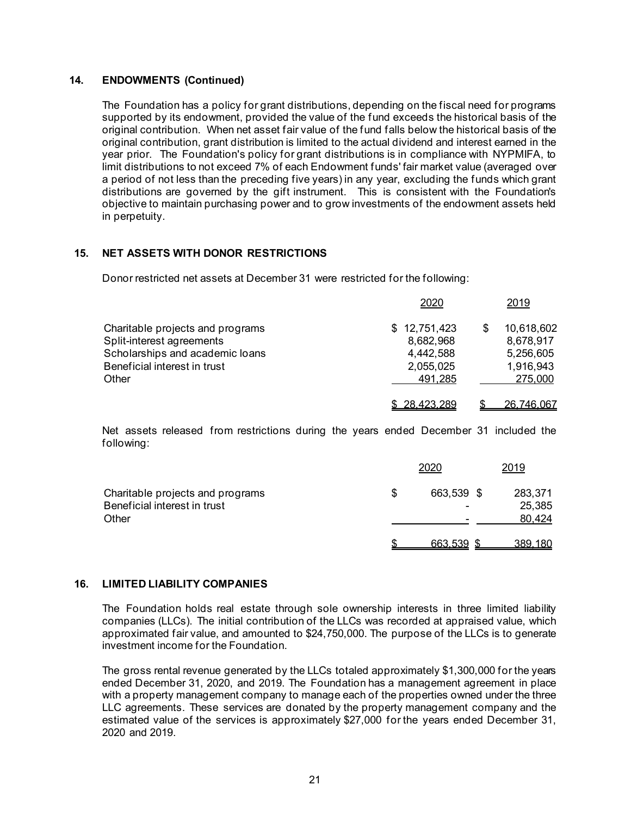## **14. ENDOWMENTS (Continued)**

The Foundation has a policy for grant distributions, depending on the fiscal need for programs supported by its endowment, provided the value of the fund exceeds the historical basis of the original contribution. When net asset fair value of the fund falls below the historical basis of the original contribution, grant distribution is limited to the actual dividend and interest earned in the year prior. The Foundation's policy for grant distributions is in compliance with NYPMIFA, to limit distributions to not exceed 7% of each Endowment funds' fair market value (averaged over a period of not less than the preceding five years) in any year, excluding the funds which grant distributions are governed by the gift instrument. This is consistent with the Foundation's objective to maintain purchasing power and to grow investments of the endowment assets held in perpetuity.

## **15. NET ASSETS WITH DONOR RESTRICTIONS**

Donor restricted net assets at December 31 were restricted for the following:

|                                  | <u> 2020</u> | <u>2019</u> |
|----------------------------------|--------------|-------------|
| Charitable projects and programs | \$12,751,423 | 10,618,602  |
| Split-interest agreements        | 8,682,968    | 8,678,917   |
| Scholarships and academic loans  | 4,442,588    | 5,256,605   |
| Beneficial interest in trust     | 2,055,025    | 1,916,943   |
| Other                            | 491,285      | 275,000     |
|                                  | \$28.423.289 | 26.746.067  |

Net assets released from restrictions during the years ended December 31 included the following:

|                                                                           |   | 2020            | 2019                        |
|---------------------------------------------------------------------------|---|-----------------|-----------------------------|
| Charitable projects and programs<br>Beneficial interest in trust<br>Other | S | 663,539 \$<br>- | 283,371<br>25,385<br>80,424 |
|                                                                           |   | 663.539 \$      | 389.180                     |

## **16. LIMITED LIABILITY COMPANIES**

The Foundation holds real estate through sole ownership interests in three limited liability companies (LLCs). The initial contribution of the LLCs was recorded at appraised value, which approximated fair value, and amounted to \$24,750,000. The purpose of the LLCs is to generate investment income for the Foundation.

The gross rental revenue generated by the LLCs totaled approximately \$1,300,000 for the years ended December 31, 2020, and 2019. The Foundation has a management agreement in place with a property management company to manage each of the properties owned under the three LLC agreements. These services are donated by the property management company and the estimated value of the services is approximately \$27,000 for the years ended December 31, 2020 and 2019.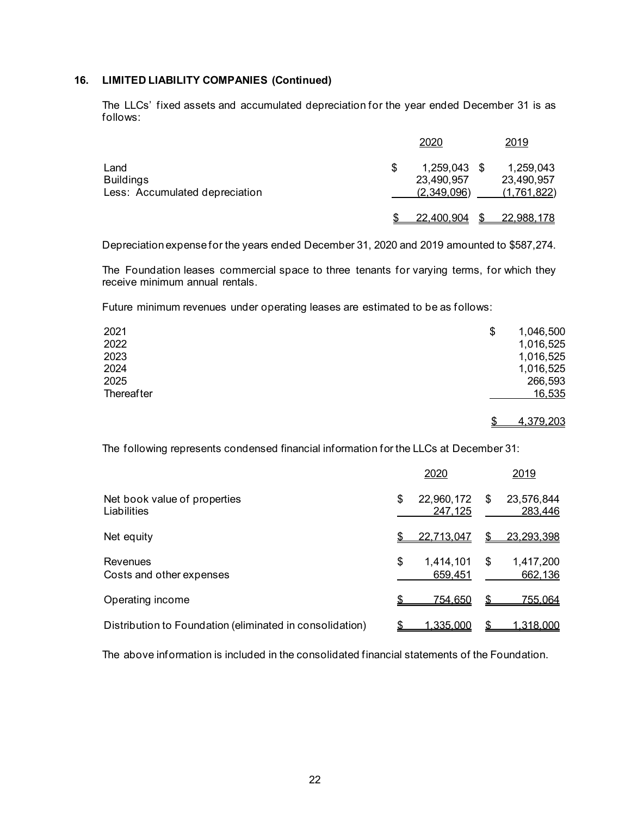## **16. LIMITED LIABILITY COMPANIES (Continued)**

The LLCs' fixed assets and accumulated depreciation for the year ended December 31 is as follows:

|                                                            |   | 2020                                        | <u> 2019</u>                           |
|------------------------------------------------------------|---|---------------------------------------------|----------------------------------------|
| Land<br><b>Buildings</b><br>Less: Accumulated depreciation | S | $1,259,043$ \$<br>23,490,957<br>(2,349,096) | 1,259,043<br>23,490,957<br>(1,761,822) |
|                                                            |   | 22.400.904                                  | 22.988.178                             |

Depreciation expense for the years ended December 31, 2020 and 2019 amounted to \$587,274.

The Foundation leases commercial space to three tenants for varying terms, for which they receive minimum annual rentals.

Future minimum revenues under operating leases are estimated to be as follows:

| 2021       | \$<br>1,046,500 |
|------------|-----------------|
| 2022       | 1,016,525       |
| 2023       | 1,016,525       |
| 2024       | 1,016,525       |
| 2025       | 266,593         |
| Thereafter | 16,535          |
|            |                 |

 $$ 4.379.203$ 

The following represents condensed financial information for the LLCs at December 31:

|                                                          | 2020                        |    | 2019                  |
|----------------------------------------------------------|-----------------------------|----|-----------------------|
| Net book value of properties<br>Liabilities              | \$<br>22,960,172<br>247,125 | S  | 23,576,844<br>283,446 |
| Net equity                                               | 22.713.047                  |    | 23.293.398            |
| Revenues<br>Costs and other expenses                     | \$<br>1,414,101<br>659,451  | \$ | 1,417,200<br>662,136  |
| Operating income                                         | 754.650                     |    | <u>755.064</u>        |
| Distribution to Foundation (eliminated in consolidation) | 1.335.000                   |    | 1.318.000             |

The above information is included in the consolidated financial statements of the Foundation.